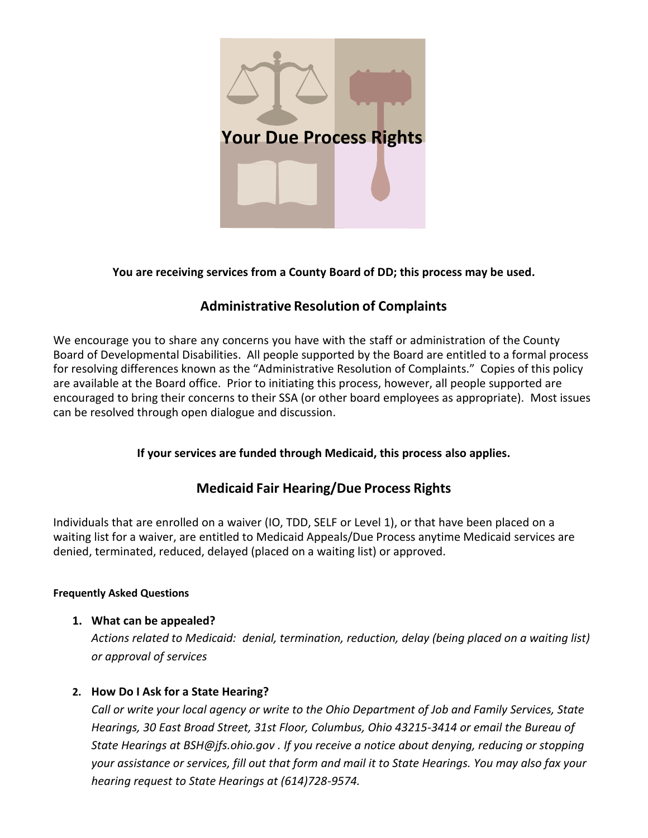

## **You are receiving services from a County Board of DD; this process may be used.**

# **Administrative Resolution of Complaints**

We encourage you to share any concerns you have with the staff or administration of the County Board of Developmental Disabilities. All people supported by the Board are entitled to a formal process for resolving differences known as the "Administrative Resolution of Complaints." Copies of this policy are available at the Board office. Prior to initiating this process, however, all people supported are encouraged to bring their concerns to their SSA (or other board employees as appropriate). Most issues can be resolved through open dialogue and discussion.

# **If your services are funded through Medicaid, this process also applies.**

# **Medicaid Fair Hearing/Due Process Rights**

Individuals that are enrolled on a waiver (IO, TDD, SELF or Level 1), or that have been placed on a waiting list for a waiver, are entitled to Medicaid Appeals/Due Process anytime Medicaid services are denied, terminated, reduced, delayed (placed on a waiting list) or approved.

#### **Frequently Asked Questions**

# **1. What can be appealed?**

*Actions related to Medicaid: denial, termination, reduction, delay (being placed on a waiting list) or approval of services*

# **2. How Do I Ask for a State Hearing?**

*Call or write your local agency or write to the Ohio Department of Job and Family Services, State Hearings, 30 East Broad Street, 31st Floor, Columbus, Ohio 43215-3414 or email the Bureau of State Hearings at [BSH@jfs.ohio.gov](mailto:BSH@jfs.ohio.gov) . If you receive a notice about denying, reducing or stopping your assistance or services, fill out that form and mail it to State Hearings. You may also fax your hearing request to State Hearings at (614)728-9574.*